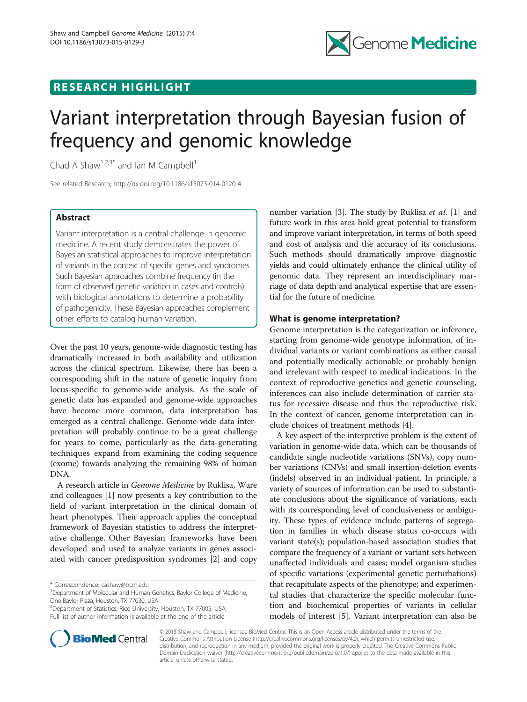## RESEARCH HIGHLIGHT



# Variant interpretation through Bayesian fusion of frequency and genomic knowledge

Chad A Shaw<sup>1,2,3\*</sup> and Ian M Campbell<sup>1</sup>

See related Research;<http://dx.doi.org/10.1186/s13073-014-0120-4>

## Abstract

Variant interpretation is a central challenge in genomic medicine. A recent study demonstrates the power of Bayesian statistical approaches to improve interpretation of variants in the context of specific genes and syndromes. Such Bayesian approaches combine frequency (in the form of observed genetic variation in cases and controls) with biological annotations to determine a probability of pathogenicity. These Bayesian approaches complement other efforts to catalog human variation.

Over the past 10 years, genome-wide diagnostic testing has dramatically increased in both availability and utilization across the clinical spectrum. Likewise, there has been a corresponding shift in the nature of genetic inquiry from locus-specific to genome-wide analysis. As the scale of genetic data has expanded and genome-wide approaches have become more common, data interpretation has emerged as a central challenge. Genome-wide data interpretation will probably continue to be a great challenge for years to come, particularly as the data-generating techniques expand from examining the coding sequence (exome) towards analyzing the remaining 98% of human DNA.

A research article in Genome Medicine by Ruklisa, Ware and colleagues [[1](#page-2-0)] now presents a key contribution to the field of variant interpretation in the clinical domain of heart phenotypes. Their approach applies the conceptual framework of Bayesian statistics to address the interpretative challenge. Other Bayesian frameworks have been developed and used to analyze variants in genes associated with cancer predisposition syndromes [[2\]](#page-2-0) and copy

\* Correspondence: [cashaw@bcm.edu](mailto:cashaw@bcm.edu) <sup>1</sup>



## What is genome interpretation?

Genome interpretation is the categorization or inference, starting from genome-wide genotype information, of individual variants or variant combinations as either causal and potentially medically actionable or probably benign and irrelevant with respect to medical indications. In the context of reproductive genetics and genetic counseling, inferences can also include determination of carrier status for recessive disease and thus the reproductive risk. In the context of cancer, genome interpretation can include choices of treatment methods [[4\]](#page-2-0).

A key aspect of the interpretive problem is the extent of variation in genome-wide data, which can be thousands of candidate single nucleotide variations (SNVs), copy number variations (CNVs) and small insertion-deletion events (indels) observed in an individual patient. In principle, a variety of sources of information can be used to substantiate conclusions about the significance of variations, each with its corresponding level of conclusiveness or ambiguity. These types of evidence include patterns of segregation in families in which disease status co-occurs with variant state(s); population-based association studies that compare the frequency of a variant or variant sets between unaffected individuals and cases; model organism studies of specific variations (experimental genetic perturbations) that recapitulate aspects of the phenotype; and experimental studies that characterize the specific molecular function and biochemical properties of variants in cellular models of interest [\[5\]](#page-2-0). Variant interpretation can also be



© 2015 Shaw and Campbell; licensee BioMed Central. This is an Open Access article distributed under the terms of the Creative Commons Attribution License (<http://creativecommons.org/licenses/by/4.0>), which permits unrestricted use, distribution, and reproduction in any medium, provided the original work is properly credited. The Creative Commons Public Domain Dedication waiver [\(http://creativecommons.org/publicdomain/zero/1.0/\)](http://creativecommons.org/publicdomain/zero/1.0/) applies to the data made available in this article, unless otherwise stated.

<sup>&</sup>lt;sup>1</sup>Department of Molecular and Human Genetics, Baylor College of Medicine, One Baylor Plaza, Houston, TX 77030, USA

<sup>2</sup> Department of Statistics, Rice University, Houston, TX 77005, USA Full list of author information is available at the end of the article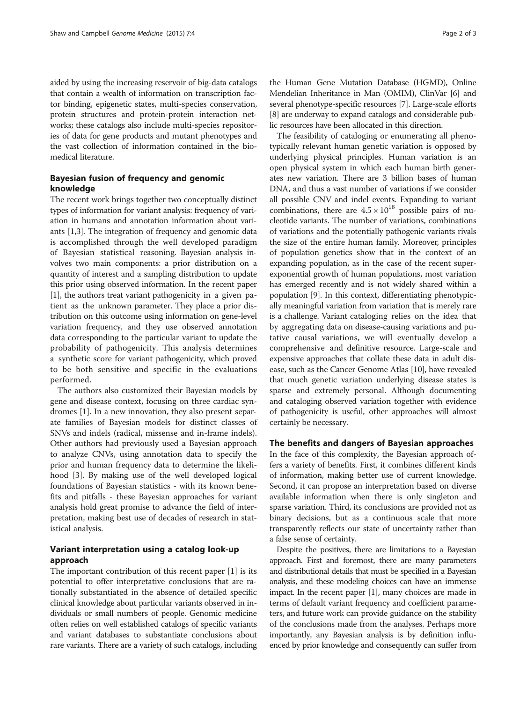aided by using the increasing reservoir of big-data catalogs that contain a wealth of information on transcription factor binding, epigenetic states, multi-species conservation, protein structures and protein-protein interaction networks; these catalogs also include multi-species repositories of data for gene products and mutant phenotypes and the vast collection of information contained in the biomedical literature.

## Bayesian fusion of frequency and genomic knowledge

The recent work brings together two conceptually distinct types of information for variant analysis: frequency of variation in humans and annotation information about variants [\[1,3](#page-2-0)]. The integration of frequency and genomic data is accomplished through the well developed paradigm of Bayesian statistical reasoning. Bayesian analysis involves two main components: a prior distribution on a quantity of interest and a sampling distribution to update this prior using observed information. In the recent paper [[1\]](#page-2-0), the authors treat variant pathogenicity in a given patient as the unknown parameter. They place a prior distribution on this outcome using information on gene-level variation frequency, and they use observed annotation data corresponding to the particular variant to update the probability of pathogenicity. This analysis determines a synthetic score for variant pathogenicity, which proved to be both sensitive and specific in the evaluations performed.

The authors also customized their Bayesian models by gene and disease context, focusing on three cardiac syndromes [\[1](#page-2-0)]. In a new innovation, they also present separate families of Bayesian models for distinct classes of SNVs and indels (radical, missense and in-frame indels). Other authors had previously used a Bayesian approach to analyze CNVs, using annotation data to specify the prior and human frequency data to determine the likelihood [\[3](#page-2-0)]. By making use of the well developed logical foundations of Bayesian statistics - with its known benefits and pitfalls - these Bayesian approaches for variant analysis hold great promise to advance the field of interpretation, making best use of decades of research in statistical analysis.

## Variant interpretation using a catalog look-up approach

The important contribution of this recent paper [\[1](#page-2-0)] is its potential to offer interpretative conclusions that are rationally substantiated in the absence of detailed specific clinical knowledge about particular variants observed in individuals or small numbers of people. Genomic medicine often relies on well established catalogs of specific variants and variant databases to substantiate conclusions about rare variants. There are a variety of such catalogs, including

the Human Gene Mutation Database (HGMD), Online Mendelian Inheritance in Man (OMIM), ClinVar [\[6\]](#page-2-0) and several phenotype-specific resources [[7\]](#page-2-0). Large-scale efforts [[8\]](#page-2-0) are underway to expand catalogs and considerable public resources have been allocated in this direction.

The feasibility of cataloging or enumerating all phenotypically relevant human genetic variation is opposed by underlying physical principles. Human variation is an open physical system in which each human birth generates new variation. There are 3 billion bases of human DNA, and thus a vast number of variations if we consider all possible CNV and indel events. Expanding to variant combinations, there are  $4.5 \times 10^{18}$  possible pairs of nucleotide variants. The number of variations, combinations of variations and the potentially pathogenic variants rivals the size of the entire human family. Moreover, principles of population genetics show that in the context of an expanding population, as in the case of the recent superexponential growth of human populations, most variation has emerged recently and is not widely shared within a population [\[9](#page-2-0)]. In this context, differentiating phenotypically meaningful variation from variation that is merely rare is a challenge. Variant cataloging relies on the idea that by aggregating data on disease-causing variations and putative causal variations, we will eventually develop a comprehensive and definitive resource. Large-scale and expensive approaches that collate these data in adult disease, such as the Cancer Genome Atlas [\[10](#page-2-0)], have revealed that much genetic variation underlying disease states is sparse and extremely personal. Although documenting and cataloging observed variation together with evidence of pathogenicity is useful, other approaches will almost certainly be necessary.

### The benefits and dangers of Bayesian approaches

In the face of this complexity, the Bayesian approach offers a variety of benefits. First, it combines different kinds of information, making better use of current knowledge. Second, it can propose an interpretation based on diverse available information when there is only singleton and sparse variation. Third, its conclusions are provided not as binary decisions, but as a continuous scale that more transparently reflects our state of uncertainty rather than a false sense of certainty.

Despite the positives, there are limitations to a Bayesian approach. First and foremost, there are many parameters and distributional details that must be specified in a Bayesian analysis, and these modeling choices can have an immense impact. In the recent paper [\[1](#page-2-0)], many choices are made in terms of default variant frequency and coefficient parameters, and future work can provide guidance on the stability of the conclusions made from the analyses. Perhaps more importantly, any Bayesian analysis is by definition influenced by prior knowledge and consequently can suffer from